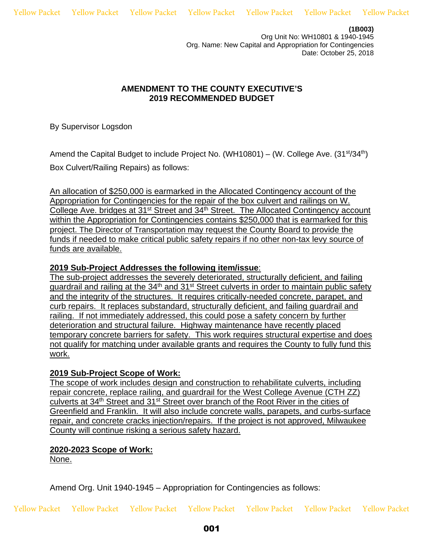Yellow Packet Yellow Packet Yellow Packet Yellow Packet Yellow Packet Yellow Packet Yellow Packet

**(1B003)** 

Org Unit No: WH10801 & 1940-1945 Org. Name: New Capital and Appropriation for Contingencies Date: October 25, 2018

## **AMENDMENT TO THE COUNTY EXECUTIVE'S 2019 RECOMMENDED BUDGET**

By Supervisor Logsdon

Amend the Capital Budget to include Project No. (WH10801) – (W. College Ave.  $(31<sup>st</sup>/34<sup>th</sup>)$ Box Culvert/Railing Repairs) as follows:

An allocation of \$250,000 is earmarked in the Allocated Contingency account of the Appropriation for Contingencies for the repair of the box culvert and railings on W. College Ave. bridges at 31st Street and 34th Street. The Allocated Contingency account within the Appropriation for Contingencies contains \$250,000 that is earmarked for this project. The Director of Transportation may request the County Board to provide the funds if needed to make critical public safety repairs if no other non-tax levy source of funds are available.

## **2019 Sub-Project Addresses the following item/issue**:

The sub-project addresses the severely deteriorated, structurally deficient, and failing guardrail and railing at the 34<sup>th</sup> and 31<sup>st</sup> Street culverts in order to maintain public safety and the integrity of the structures. It requires critically-needed concrete, parapet, and curb repairs. It replaces substandard, structurally deficient, and failing guardrail and railing. If not immediately addressed, this could pose a safety concern by further deterioration and structural failure. Highway maintenance have recently placed temporary concrete barriers for safety. This work requires structural expertise and does not qualify for matching under available grants and requires the County to fully fund this work.

## **2019 Sub-Project Scope of Work:**

The scope of work includes design and construction to rehabilitate culverts, including repair concrete, replace railing, and guardrail for the West College Avenue (CTH ZZ) culverts at 34th Street and 31st Street over branch of the Root River in the cities of Greenfield and Franklin. It will also include concrete walls, parapets, and curbs-surface repair, and concrete cracks injection/repairs. If the project is not approved, Milwaukee County will continue risking a serious safety hazard.

## **2020-2023 Scope of Work:**  None.

Amend Org. Unit 1940-1945 – Appropriation for Contingencies as follows:

Yellow Packet Yellow Packet Yellow Packet Yellow Packet Yellow Packet Yellow Packet Yellow Packet